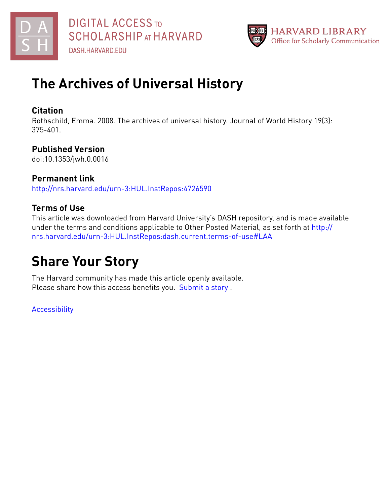



## **The Archives of Universal History**

#### **Citation**

Rothschild, Emma. 2008. The archives of universal history. Journal of World History 19(3): 375-401.

#### **Published Version**

doi:10.1353/jwh.0.0016

#### **Permanent link**

<http://nrs.harvard.edu/urn-3:HUL.InstRepos:4726590>

### **Terms of Use**

This article was downloaded from Harvard University's DASH repository, and is made available under the terms and conditions applicable to Other Posted Material, as set forth at [http://](http://nrs.harvard.edu/urn-3:HUL.InstRepos:dash.current.terms-of-use#LAA) [nrs.harvard.edu/urn-3:HUL.InstRepos:dash.current.terms-of-use#LAA](http://nrs.harvard.edu/urn-3:HUL.InstRepos:dash.current.terms-of-use#LAA)

# **Share Your Story**

The Harvard community has made this article openly available. Please share how this access benefits you. [Submit](http://osc.hul.harvard.edu/dash/open-access-feedback?handle=&title=The%20Archives%20of%20Universal%20History&community=1/1&collection=1/2&owningCollection1/2&harvardAuthors=3f22b56b181aefe0019a8db3d0c5f1b4&departmentHistory) a story.

**[Accessibility](https://dash.harvard.edu/pages/accessibility)**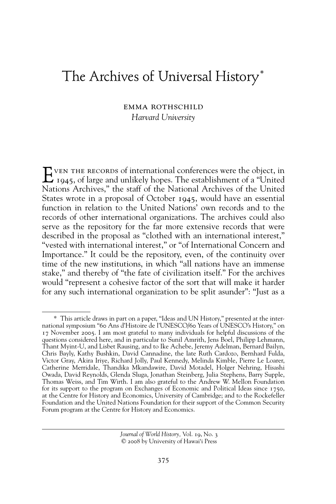### The Archives of Universal History\*

#### emma rothschild *Harvard University*

 $\sum$  ven THE RECORDS of international conferences were the object, in 1945, of large and unlikely hopes. The establishment of a "United" Nations Archives," the staff of the National Archives of the United States wrote in a proposal of October 1945, would have an essential function in relation to the United Nations' own records and to the records of other international organizations. The archives could also serve as the repository for the far more extensive records that were described in the proposal as "clothed with an international interest," "vested with international interest," or "of International Concern and Importance." It could be the repository, even, of the continuity over time of the new institutions, in which "all nations have an immense stake," and thereby of "the fate of civilization itself." For the archives would "represent a cohesive factor of the sort that will make it harder for any such international organization to be split asunder": "Just as a

<sup>\*</sup> This article draws in part on a paper, "Ideas and UN History," presented at the international symposium "60 Ans d'Histoire de l'UNESCO/60 Years of UNESCO's History," on 17 November 2005. I am most grateful to many individuals for helpful discussions of the questions considered here, and in particular to Sunil Amrith, Jens Boel, Philipp Lehmann, Thant Myint-U, and Lisbet Rausing, and to Ike Achebe, Jeremy Adelman, Bernard Bailyn, Chris Bayly, Kathy Bushkin, David Cannadine, the late Ruth Cardozo, Bernhard Fulda, Victor Gray, Akira Iriye, Richard Jolly, Paul Kennedy, Melinda Kimble, Pierre Le Loarer, Catherine Merridale, Thandika Mkandawire, David Motadel, Holger Nehring, Hisashi Owada, David Reynolds, Glenda Sluga, Jonathan Steinberg, Julia Stephens, Barry Supple, Thomas Weiss, and Tim Wirth. I am also grateful to the Andrew W. Mellon Foundation for its support to the program on Exchanges of Economic and Political Ideas since 1750, at the Centre for History and Economics, University of Cambridge; and to the Rockefeller Foundation and the United Nations Foundation for their support of the Common Security Forum program at the Centre for History and Economics.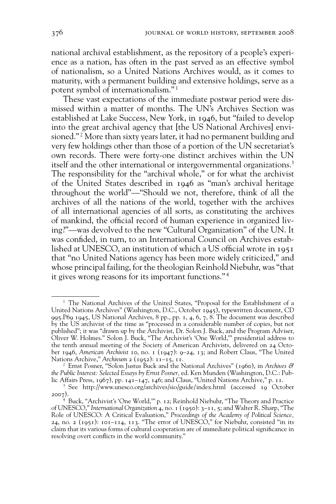national archival establishment, as the repository of a people's experience as a nation, has often in the past served as an effective symbol of nationalism, so a United Nations Archives would, as it comes to maturity, with a permanent building and extensive holdings, serve as a potent symbol of internationalism." 1

These vast expectations of the immediate postwar period were dismissed within a matter of months. The UN's Archives Section was established at Lake Success, New York, in 1946, but "failed to develop into the great archival agency that [the US National Archives] envisioned." 2 More than sixty years later, it had no permanent building and very few holdings other than those of a portion of the UN secretariat's own records. There were forty-one distinct archives within the UN itself and the other international or intergovernmental organizations.<sup>3</sup> The responsibility for the "archival whole," or for what the archivist of the United States described in 1946 as "man's archival heritage throughout the world"—"Should we not, therefore, think of all the archives of all the nations of the world, together with the archives of all international agencies of all sorts, as constituting the archives of mankind, the official record of human experience in organized living?"—was devolved to the new "Cultural Organization" of the UN. It was confided, in turn, to an International Council on Archives established at UNESCO, an institution of which a US official wrote in 1951 that "no United Nations agency has been more widely criticized," and whose principal failing, for the theologian Reinhold Niebuhr, was "that it gives wrong reasons for its important functions." 4

<sup>&</sup>lt;sup>1</sup> The National Archives of the United States, "Proposal for the Establishment of a United Nations Archives" (Washington, D.C., October 1945), typewritten document, CD 995.P69 1945, US National Archives, 8 pp., pp. 1, 4, 6, 7, 8. The document was described by the US archivist of the time as "processed in a considerable number of copies, but not published"; it was "drawn up by the Archivist, Dr. Solon J. Buck, and the Program Adviser, Oliver W. Holmes." Solon J. Buck, "The Archivist's 'One World,'" presidential address to the tenth annual meeting of the Society of American Archivists, delivered on 24 October 1946, *American Archivist* 10, no. 1 (1947): 9–24, 13; and Robert Claus, "The United Nations Archive," *Archivum* 2 (1952): 11–15, 11.

<sup>2</sup> Ernst Posner, "Solon Justus Buck and the National Archives" (1960), in *Archives & the Public Interest: Selected Essays by Ernst Posner,* ed. Ken Munden (Washington, D.C.: Public Affairs Press, 1967), pp. 141–147, 146; and Claus, "United Nations Archive," p. 11.

<sup>3</sup> See http://www.unesco.org/archives/sio/guide/index.html (accessed 19 October 2007).

<sup>4</sup> Buck, "Archivist's 'One World,'" p. 12; Reinhold Niebuhr, "The Theory and Practice of UNESCO," *International Organization* 4, no. 1 (1950): 3–11, 5; and Walter R. Sharp, "The Role of UNESCO: A Critical Evaluation," *Proceedings of the Academy of Political Science,*  24, no. 2 (1951):  $10I-114$ , 113. "The error of UNESCO," for Niebuhr, consisted "in its claim that its various forms of cultural cooperation are of immediate political significance in resolving overt conflicts in the world community."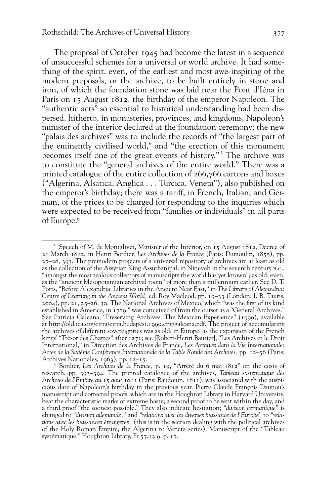The proposal of October 1945 had become the latest in a sequence of unsuccessful schemes for a universal or world archive. It had something of the spirit, even, of the earliest and most awe-inspiring of the modern proposals, or the archive, to be built entirely in stone and iron, of which the foundation stone was laid near the Pont d'Iéna in Paris on 15 August 1812, the birthday of the emperor Napoleon. The "authentic acts" so essential to historical understanding had been dispersed, hitherto, in monasteries, provinces, and kingdoms, Napoleon's minister of the interior declared at the foundation ceremony; the new "palais des archives" was to include the records of "the largest part of the eminently civilised world," and "the erection of this monument becomes itself one of the great events of history."<sup>5</sup> The archive was to constitute the "general archives of the entire world." There was a printed catalogue of the entire collection of 266,766 cartons and boxes ("Algerina, Alsatica, Anglica . . . Turcica, Veneta"), also published on the emperor's birthday; there was a tariff, in French, Italian, and German, of the prices to be charged for responding to the inquiries which were expected to be received from "families or individuals" in all parts of Europe.6

<sup>&</sup>lt;sup>5</sup> Speech of M. de Montalivet, Minister of the Interior, on 15 August 1812, Decree of 21 March 1812, in Henri Bordier, *Les Archives de la France* (Paris: Dumoulin, 1855), pp.  $27-28$ , 393. The premodern projects of a universal repository of archives are at least as old as the collection of the Assyrian King Assurbanipal, in Nineveh in the seventh century b.c., "amongst the most zealous collectors of manuscripts the world has yet known"; as old, even, as the "ancient Mesopotamian archival room" of more than a millennium earlier. See D. T. Potts, "Before Alexandria: Libraries in the Ancient Near East," in *The Library of Alexandria: Centre of Learning in the Ancient World,* ed. Roy Macleod, pp. 19–33 (London: I. B. Tauris,  $2004$ ), pp.  $21$ ,  $25-26$ , 30. The National Archives of Mexico, which "was the first of its kind established in America, in 1789," was conceived of from the outset as a "General Archives." See Patricia Galeana, "Preserving Archives: The Mexican Experience" (1999), available at http://old.ica.org/citra/citra.budapest.1999.eng/galeana.pdf. The project of accumulating the archives of different sovereignties was as old, in Europe, as the expansion of the French kings' "Trésor des Chartes" after 1271; see [Robert-Henri Bautier], "Les Archives et le Droit International," in Direction des Archives de France, *Les Archives dans la Vie Internationale: Actes de la Sixième Conférence Internationale de la Table Ronde des Archives,* pp. 12–56 (Paris: Archives Nationales, 1963), pp. 12–15.

<sup>6</sup> Bordier, *Les Archives de la France,* p. 19, "Arrêté du 6 mai 1812" on the costs of research, pp. 393–394. The printed catalogue of the archives, *Tableau systématique des Archives de l'Empire au 15 aout 1811* (Paris: Baudouin, 1811), was associated with the auspicious date of Napoleon's birthday in the previous year. Pierre Claude François Daunou's manuscript and corrected proofs, which are in the Houghton Library in Harvard University, bear the characteristic marks of extreme haste; a second proof to be sent within the day, and a third proof "the soonest possible." They also indicate hesitation; *"division germanique"* is changed to *"division allemande,"* and *"relations avec les diverses puissance de l'Europe"* to *"relations avec les puissances étrangères"* (this is in the section dealing with the political archives of the Holy Roman Empire, the Algerina to Veneta series). Manuscript of the "Tableau systématique," Houghton Library, Fr 57.12.9, p. 17.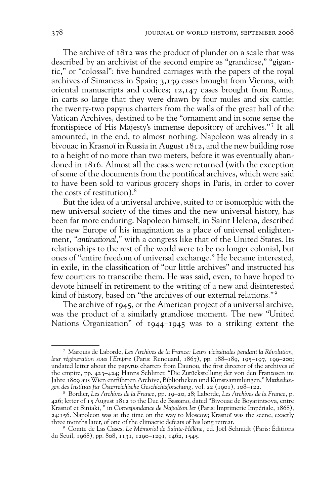The archive of 1812 was the product of plunder on a scale that was described by an archivist of the second empire as "grandiose," "gigantic," or "colossal": five hundred carriages with the papers of the royal archives of Simancas in Spain; 3,139 cases brought from Vienna, with oriental manuscripts and codices; 12,147 cases brought from Rome, in carts so large that they were drawn by four mules and six cattle; the twenty-two papyrus charters from the walls of the great hall of the Vatican Archives, destined to be the "ornament and in some sense the frontispiece of His Majesty's immense depository of archives."<sup>7</sup> It all amounted, in the end, to almost nothing. Napoleon was already in a bivouac in Krasnoï in Russia in August 1812, and the new building rose to a height of no more than two meters, before it was eventually abandoned in 1816. Almost all the cases were returned (with the exception of some of the documents from the pontifical archives, which were said to have been sold to various grocery shops in Paris, in order to cover the costs of restitution).8

But the idea of a universal archive, suited to or isomorphic with the new universal society of the times and the new universal history, has been far more enduring. Napoleon himself, in Saint Helena, described the new Europe of his imagination as a place of universal enlightenment, *"antinational,"* with a congress like that of the United States. Its relationships to the rest of the world were to be no longer colonial, but ones of "entire freedom of universal exchange." He became interested, in exile, in the classification of "our little archives" and instructed his few courtiers to transcribe them. He was said, even, to have hoped to devote himself in retirement to the writing of a new and disinterested kind of history, based on "the archives of our external relations."<sup>9</sup>

The archive of 1945, or the American project of a universal archive, was the product of a similarly grandiose moment. The new "United Nations Organization" of 1944–1945 was to a striking extent the

<sup>7</sup> Marquis de Laborde, *Les Archives de la France: Leurs vicissitudes pendant la Révolution, leur régéneration sous l'Empire* (Paris: Renouard, 1867), pp. 188–189, 195–197, 199–200; undated letter about the papyrus charters from Daunou, the first director of the archives of the empire, pp. 423–424; Hanns Schlitter, "Die Zurückstellung der von den Franzosen im Jahre 1809 aus Wien entführten Archive, Bibliotheken und Kunstsammlungen," *Mittheilungen des Instituts für Österreichische Geschichtsforschung,* vol. 22 (1901), 108–122.

<sup>8</sup> Bordier, *Les Archives de la France,* pp. 19–20, 28; Laborde, *Les Archives de la France,* p. 426; letter of 15 August 1812 to the Duc de Bassano, dated "Bivouac de Boyarintsova, entre Krasnoï et Siniaki, " in *Correspondance de Napoléon Ier* (Paris: Imprimerie Impériale, 1868), 24:156. Napoleon was at the time on the way to Moscow; Krasnoï was the scene, exactly three months later, of one of the climactic defeats of his long retreat.

<sup>9</sup> Comte de Las Cases, *Le Mémorial de Sainte-Hélène,* ed. Joël Schmidt (Paris: Éditions du Seuil, 1968), pp. 808, 1131, 1290–1291, 1462, 1545.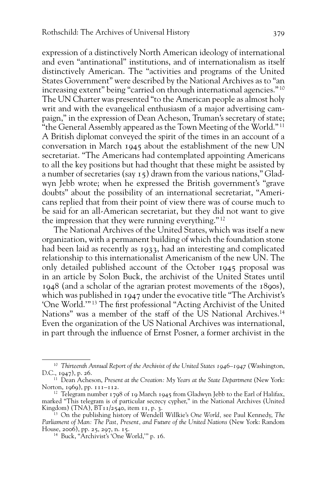expression of a distinctively North American ideology of international and even "antinational" institutions, and of internationalism as itself distinctively American. The "activities and programs of the United States Government" were described by the National Archives as to "an increasing extent" being "carried on through international agencies." 10 The UN Charter was presented "to the American people as almost holy writ and with the evangelical enthusiasm of a major advertising campaign," in the expression of Dean Acheson, Truman's secretary of state; "the General Assembly appeared as the Town Meeting of the World." 11 A British diplomat conveyed the spirit of the times in an account of a conversation in March 1945 about the establishment of the new UN secretariat. "The Americans had contemplated appointing Americans to all the key positions but had thought that these might be assisted by a number of secretaries (say 15) drawn from the various nations," Gladwyn Jebb wrote; when he expressed the British government's "grave doubts" about the possibility of an international secretariat, "Americans replied that from their point of view there was of course much to be said for an all-American secretariat, but they did not want to give the impression that they were running everything." 12

The National Archives of the United States, which was itself a new organization, with a permanent building of which the foundation stone had been laid as recently as 1933, had an interesting and complicated relationship to this internationalist Americanism of the new UN. The only detailed published account of the October 1945 proposal was in an article by Solon Buck, the archivist of the United States until 1948 (and a scholar of the agrarian protest movements of the 1890s), which was published in 1947 under the evocative title "The Archivist's 'One World.'"<sup>13</sup> The first professional "Acting Archivist of the United Nations" was a member of the staff of the US National Archives.<sup>14</sup> Even the organization of the US National Archives was international, in part through the influence of Ernst Posner, a former archivist in the

<sup>10</sup> *Thirteenth Annual Report of the Archivist of the United States 1946–1947* (Washington, D.C., 1947), p. 26.

<sup>&</sup>lt;sup>11</sup> Dean Acheson, *Present at the Creation: My Years at the State Department* (New York: Norton, 1969), pp. 111–112.

 $12$  Telegram number 1798 of 19 March 1945 from Gladwyn Jebb to the Earl of Halifax, marked "This telegram is of particular secrecy cypher," in the National Archives (United Kingdom) (TNA), BT11/2540, item 11, p. 3.

<sup>13</sup> On the publishing history of Wendell Willkie's *One World,* see Paul Kennedy, *The Parliament of Man: The Past, Present, and Future of the United Nations* (New York: Random House, 2006), pp. 25, 297, n. 15.

<sup>14</sup> Buck, "Archivist's 'One World,'" p. 16.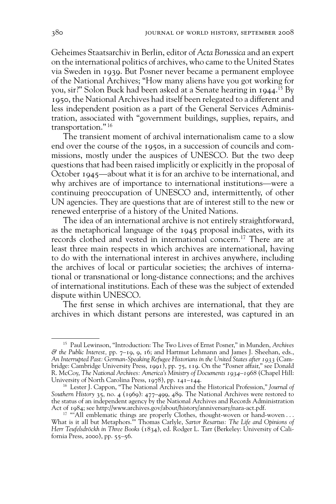Geheimes Staatsarchiv in Berlin, editor of *Acta Borussica* and an expert on the international politics of archives, who came to the United States via Sweden in 1939. But Posner never became a permanent employee of the National Archives; "How many aliens have you got working for you, sir?" Solon Buck had been asked at a Senate hearing in 1944. 15 By 1950, the National Archives had itself been relegated to a different and less independent position as a part of the General Services Administration, associated with "government buildings, supplies, repairs, and transportation." 16

The transient moment of archival internationalism came to a slow end over the course of the 1950s, in a succession of councils and commissions, mostly under the auspices of UNESCO. But the two deep questions that had been raised implicitly or explicitly in the proposal of October 1945—about what it is for an archive to be international, and why archives are of importance to international institutions—were a continuing preoccupation of UNESCO and, intermittently, of other UN agencies. They are questions that are of interest still to the new or renewed enterprise of a history of the United Nations.

The idea of an international archive is not entirely straightforward, as the metaphorical language of the 1945 proposal indicates, with its records clothed and vested in international concern.17 There are at least three main respects in which archives are international, having to do with the international interest in archives anywhere, including the archives of local or particular societies; the archives of international or transnational or long-distance connections; and the archives of international institutions. Each of these was the subject of extended dispute within UNESCO.

The first sense in which archives are international, that they are archives in which distant persons are interested, was captured in an

<sup>15</sup> Paul Lewinson, "Introduction: The Two Lives of Ernst Posner," in Munden, *Archives & the Public Interest,* pp. 7–19, 9, 16; and Hartmut Lehmann and James J. Sheehan, eds., *An Interrupted Past: German-Speaking Refugee Historians in the United States after 1933* (Cambridge: Cambridge University Press, 1991), pp. 75, 119. On the "Posner affair," see Donald R. McCoy, *The National Archives: America's Ministry of Documents 1934–1968* (Chapel Hill: University of North Carolina Press, 1978), pp. 141–144.

<sup>16</sup> Lester J. Cappon, "The National Archives and the Historical Profession," *Journal of Southern History* 35, no. 4 (1969): 477–499, 489. The National Archives were restored to the status of an independent agency by the National Archives and Records Administration Act of 1984; see http://www.archives.gov/about/history/anniversary/nara-act.pdf.

<sup>&</sup>lt;sup>17</sup> "All emblematic things are properly Clothes, thought-woven or hand-woven ... What is it all but Metaphors.'" Thomas Carlyle, *Sartor Resartus: The Life and Opinions of Herr Teufelsdröckh in Three Books* (1834), ed. Rodger L. Tarr (Berkeley: University of California Press, 2000), pp. 55–56.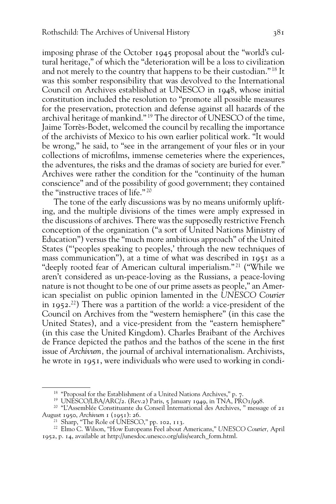imposing phrase of the October 1945 proposal about the "world's cultural heritage," of which the "deterioration will be a loss to civilization and not merely to the country that happens to be their custodian." 18 It was this somber responsibility that was devolved to the International Council on Archives established at UNESCO in 1948, whose initial constitution included the resolution to "promote all possible measures for the preservation, protection and defense against all hazards of the archival heritage of mankind." 19 The director of UNESCO of the time, Jaime Torrès-Bodet, welcomed the council by recalling the importance of the archivists of Mexico to his own earlier political work. "It would be wrong," he said, to "see in the arrangement of your files or in your collections of microfilms, immense cemeteries where the experiences, the adventures, the risks and the dramas of society are buried for ever." Archives were rather the condition for the "continuity of the human conscience" and of the possibility of good government; they contained the "instructive traces of life." 20

The tone of the early discussions was by no means uniformly uplifting, and the multiple divisions of the times were amply expressed in the discussions of archives. There was the supposedly restrictive French conception of the organization ("a sort of United Nations Ministry of Education") versus the "much more ambitious approach" of the United States ("'peoples speaking to peoples,' through the new techniques of mass communication"), at a time of what was described in 1951 as a "deeply rooted fear of American cultural imperialism." 21 ("While we aren't considered as un-peace-loving as the Russians, a peace-loving nature is not thought to be one of our prime assets as people," an American specialist on public opinion lamented in the *UNESCO Courier* in 1952. 22) There was a partition of the world: a vice-president of the Council on Archives from the "western hemisphere" (in this case the United States), and a vice-president from the "eastern hemisphere" (in this case the United Kingdom). Charles Braibant of the Archives de France depicted the pathos and the bathos of the scene in the first issue of *Archivum,* the journal of archival internationalism. Archivists, he wrote in 1951, were individuals who were used to working in condi-

<sup>&</sup>lt;sup>18</sup> "Proposal for the Establishment of a United Nations Archives," p. 7.

<sup>&</sup>lt;sup>19</sup> UNESCO/LBA/ARC/2. (Rev.2) Paris, 5 January 1949, in TNA,  $\overrightarrow{PROI}/998$ .

<sup>20 &</sup>quot;L'Assemblée Constituante du Conseil International des Archives, " message of 21 August 1950, *Archivum* 1 (1951): 26.

<sup>&</sup>lt;sup>21</sup> Sharp, "The Role of UNESCO," pp. 102, 113.

<sup>22</sup> Elmo C. Wilson, "How Europeans Feel about Americans," *UNESCO Courier,* April 1952, p. 14, available at http://unesdoc.unesco.org/ulis/search\_form.html.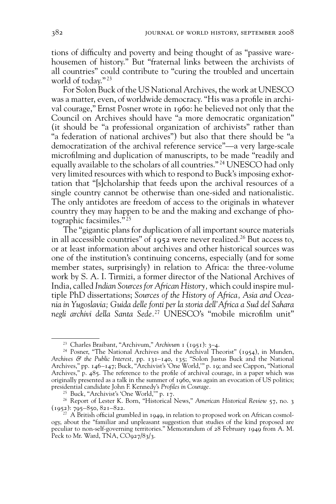tions of difficulty and poverty and being thought of as "passive warehousemen of history." But "fraternal links between the archivists of all countries" could contribute to "curing the troubled and uncertain world of today." 23

For Solon Buck of the US National Archives, the work at UNESCO was a matter, even, of worldwide democracy. "His was a profile in archival courage," Ernst Posner wrote in 1960: he believed not only that the Council on Archives should have "a more democratic organization" (it should be "a professional organization of archivists" rather than "a federation of national archives") but also that there should be "a democratization of the archival reference service"—a very large-scale microfilming and duplication of manuscripts, to be made "readily and equally available to the scholars of all countries."<sup>24</sup> UNESCO had only very limited resources with which to respond to Buck's imposing exhortation that "[s]cholarship that feeds upon the archival resources of a single country cannot be otherwise than one-sided and nationalistic. The only antidotes are freedom of access to the originals in whatever country they may happen to be and the making and exchange of photographic facsimiles." 25

The "gigantic plans for duplication of all important source materials in all accessible countries" of 1952 were never realized.<sup>26</sup> But access to, or at least information about archives and other historical sources was one of the institution's continuing concerns, especially (and for some member states, surprisingly) in relation to Africa: the three-volume work by S. A. I. Tirmizi, a former director of the National Archives of India, called *Indian Sources for African History,* which could inspire multiple PhD dissertations; *Sources of the History of Africa, Asia and Oceania in Yugoslavia; Guida delle fonti per la storia dell'Africa a Sud del Sahara*  negli archivi della Santa Sede.<sup>27</sup> UNESCO's "mobile microfilm unit"

<sup>23</sup> Charles Braibant, "Archivum," *Archivum* 1 (1951): 3–4.

<sup>&</sup>lt;sup>24</sup> Posner, "The National Archives and the Archival Theorist" (1954), in Munden, *Archives & the Public Interest,* pp. 131–140, 135; "Solon Justus Buck and the National Archives," pp. 146–147; Buck, "Archivist's 'One World,'" p. 19; and see Cappon, "National Archives," p. 485. The reference to the profile of archival courage, in a paper which was originally presented as a talk in the summer of 1960, was again an evocation of US politics; presidential candidate John F. Kennedy's Profiles in Courage.

<sup>25</sup> Buck, "Archivist's 'One World,'" p. 17.

<sup>26</sup> Report of Lester K. Born, "Historical News," *American Historical Review* 57, no. 3  $(1952): 795 - 850, 821 - 822.$ 

<sup>&</sup>lt;sup>27</sup> A British official grumbled in 1949, in relation to proposed work on African cosmology, about the "familiar and unpleasant suggestion that studies of the kind proposed are peculiar to non-self-governing territories." Memorandum of 28 February 1949 from A. M. Peck to Mr. Ward, TNA,  $CO<sub>927</sub>/8<sub>3</sub>/3$ .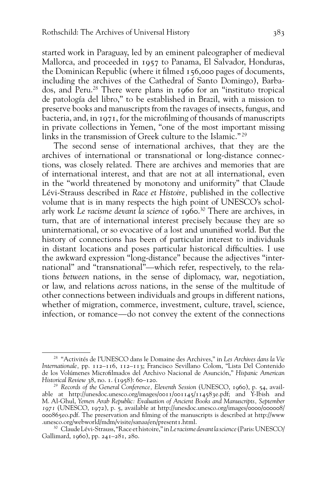started work in Paraguay, led by an eminent paleographer of medieval Mallorca, and proceeded in 1957 to Panama, El Salvador, Honduras, the Dominican Republic (where it filmed 156,000 pages of documents, including the archives of the Cathedral of Santo Domingo), Barbados, and Peru.28 There were plans in 1960 for an "instituto tropical de patología del libro," to be established in Brazil, with a mission to preserve books and manuscripts from the ravages of insects, fungus, and bacteria, and, in  $1971$ , for the microfilming of thousands of manuscripts in private collections in Yemen, "one of the most important missing links in the transmission of Greek culture to the Islamic." 29

The second sense of international archives, that they are the archives of international or transnational or long-distance connections, was closely related. There are archives and memories that are of international interest, and that are not at all international, even in the "world threatened by monotony and uniformity" that Claude Lévi-Strauss described in *Race et Histoire,* published in the collective volume that is in many respects the high point of UNESCO's scholarly work *Le racisme devant la science* of 1960. 30 There are archives, in turn, that are of international interest precisely because they are so uninternational, or so evocative of a lost and ununified world. But the history of connections has been of particular interest to individuals in distant locations and poses particular historical difficulties. I use the awkward expression "long-distance" because the adjectives "international" and "transnational"—which refer, respectively, to the relations *between* nations, in the sense of diplomacy, war, negotiation, or law, and relations *across* nations, in the sense of the multitude of other connections between individuals and groups in different nations, whether of migration, commerce, investment, culture, travel, science, infection, or romance—do not convey the extent of the connections

<sup>28 &</sup>quot;Activités de l'UNESCO dans le Domaine des Archives," in *Les Archives dans la Vie Internationale,* pp. 112–116, 112–113; Francisco Sevillano Colom, "Lista Del Contenido de los Volúmenes Microfi lmados del Archivo Nacional de Asunción," *Hispanic American Historical Review* 38, no. 1. (1958): 60–120.

<sup>29</sup> *Records of the General Conference, Eleventh Session* (UNESCO, 1960), p. 54, available at http://unesdoc.unesco.org/images/0011/001145/114583e.pdf; and Y-Ibish and M. Al-Ghul, *Yemen Arab Republic: Evaluation of Ancient Books and Manuscripts, September 1971* (UNESCO, 1972), p. 5, available at http://unesdoc.unesco.org/images/0000/000008/ 000865eo.pdf. The preservation and fi lming of the manuscripts is described at http://www .unesco.org/webworld/mdm/visite/sanaa/en/present1.html.

<sup>30</sup> Claude Lévi-Strauss, "Race et histoire," in *Le racisme devant la science* (Paris: UNESCO/ Gallimard, 1960), pp. 241–281, 280.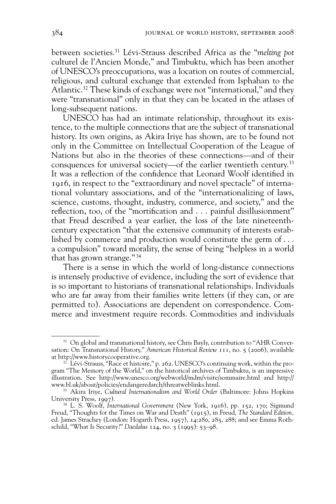between societies.31 Lévi-Strauss described Africa as the "*melting pot* culturel de l'Ancien Monde," and Timbuktu, which has been another of UNESCO's preoccupations, was a location on routes of commercial, religious, and cultural exchange that extended from Isphahan to the Atlantic.<sup>32</sup> These kinds of exchange were not "international," and they were "transnational" only in that they can be located in the atlases of long-subsequent nations.

UNESCO has had an intimate relationship, throughout its existence, to the multiple connections that are the subject of transnational history. Its own origins, as Akira Iriye has shown, are to be found not only in the Committee on Intellectual Cooperation of the League of Nations but also in the theories of these connections—and of their consquences for universal society—of the earlier twentieth century.<sup>33</sup> It was a reflection of the confidence that Leonard Woolf identified in 1916, in respect to the "extraordinary and novel spectacle" of international voluntary associations, and of the "internationalizing of laws, science, customs, thought, industry, commerce, and society," and the reflection, too, of the "mortification and  $\ldots$  painful disillusionment" that Freud described a year earlier, the loss of the late nineteenth century expectation "that the extensive community of interests established by commerce and production would constitute the germ of... a compulsion" toward morality, the sense of being "helpless in a world that has grown strange." 34

There is a sense in which the world of long-distance connections is intensely productive of evidence, including the sort of evidence that is so important to historians of transnational relationships. Individuals who are far away from their families write letters (if they can, or are permitted to). Associations are dependent on correspondence. Commerce and investment require records. Commodities and individuals

<sup>&</sup>lt;sup>31</sup> On global and transnational history, see Chris Bayly, contribution to "AHR Conversation: On Transnational History," *American Historical Review* 111, no. 5 (2006), available at http://www.historycooperative.org.

 $32$  Lévi-Strauss, "Race et histoire," p. 262. UNESCO's continuing work, within the program "The Memory of the World," on the historical archives of Timbuktu, is an impressive illustration. See http://www.unesco.org/webworld/mdm/visite/sommaire.html and http:// www.bl.uk/about/policies/endangeredarch/threatweblinks.html.

<sup>33</sup> Akira Iriye, *Cultural Internationalism and World Order* (Baltimore: Johns Hopkins University Press, 1997).

<sup>34</sup> L. S. Woolf, *International Government* (New York, 1916), pp. 152, 170; Sigmund Freud, "Thoughts for the Times on War and Death" (1915), in Freud, *The Standard Edition,*  ed. James Strachey (London: Hogarth Press, 1957), 14:280, 285, 288; and see Emma Rothschild, "What Is Security?" *Daedalus* 124, no. 3 (1995): 53–98.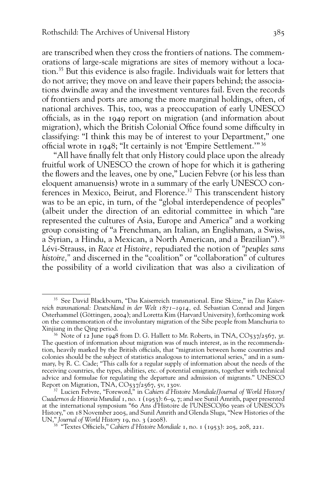are transcribed when they cross the frontiers of nations. The commemorations of large-scale migrations are sites of memory without a location.35 But this evidence is also fragile. Individuals wait for letters that do not arrive; they move on and leave their papers behind; the associations dwindle away and the investment ventures fail. Even the records of frontiers and ports are among the more marginal holdings, often, of national archives. This, too, was a preoccupation of early UNESCO officials, as in the 1949 report on migration (and information about migration), which the British Colonial Office found some difficulty in classifying: "I think this may be of interest to your Department," one official wrote in 1948; "It certainly is not 'Empire Settlement.'" 36

"All have finally felt that only History could place upon the already fruitful work of UNESCO the crown of hope for which it is gathering the flowers and the leaves, one by one," Lucien Febvre (or his less than eloquent amanuensis) wrote in a summary of the early UNESCO conferences in Mexico, Beirut, and Florence.<sup>37</sup> This transcendent history was to be an epic, in turn, of the "global interdependence of peoples" (albeit under the direction of an editorial committee in which "are represented the cultures of Asia, Europe and America" and a working group consisting of "a Frenchman, an Italian, an Englishman, a Swiss, a Syrian, a Hindu, a Mexican, a North American, and a Brazilian").<sup>38</sup> Lévi-Strauss, in *Race et Histoire,* repudiated the notion of *"peuples sans histoire,"* and discerned in the "coalition" or "collaboration" of cultures the possibility of a world civilization that was also a civilization of

<sup>35</sup> See David Blackbourn, "Das Kaiserreich transnational. Eine Skizze," in *Das Kaiserreich transnational: Deutschland in der Welt 1871–1914,* ed. Sebastian Conrad and Jürgen Osterhammel (Göttingen, 2004); and Loretta Kim (Harvard University), forthcoming work on the commemoration of the involuntary migration of the Sibe people from Manchuria to Xinjiang in the Qing period.

 $36$  Note of 12 June 1948 from D. G. Hallett to Mr. Roberts, in TNA, CO537/2567, 31. The question of information about migration was of much interest, as in the recommendation, heavily marked by the British officials, that "migration between home countries and colonies should be the subject of statistics analogous to international series," and in a summary, by R. C. Cade; "This calls for a regular supply of information about the needs of the receiving countries, the types, abilities, etc. of potential emigrants, together with technical advice and formulae for regulating the departure and admission of migrants." UNESCO Report on Migration, TNA, CO537/2567, 5v, 130v.

<sup>37</sup> Lucien Febvre, "Foreword," in *Cahiers d'Histoire Mondiale/Journal of World History/ Cuadernos de Historia Mundial* 1, no. 1 (1953): 6–9, 7; and see Sunil Amrith, paper presented at the international symposium "60 Ans d'Histoire de l'UNESCO/60 years of UNESCO's History," on 18 November 2005, and Sunil Amrith and Glenda Sluga, "New Histories of the UN," *Journal of World History* 19, no. 3 (2008).

<sup>&</sup>lt;sup>38</sup> "Textes Officiels," *Cahiers d'Histoire Mondiale* 1, no. 1 (1953): 205, 208, 221.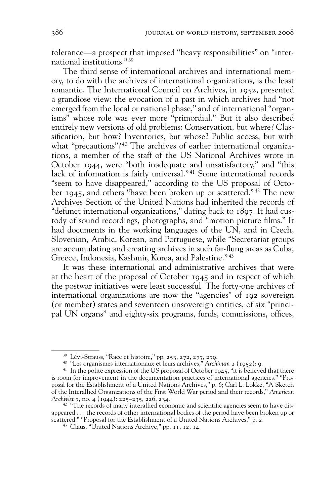tolerance—a prospect that imposed "heavy responsibilities" on "international institutions." 39

The third sense of international archives and international memory, to do with the archives of international organizations, is the least romantic. The International Council on Archives, in 1952, presented a grandiose view: the evocation of a past in which archives had "not emerged from the local or national phase," and of international "organisms" whose role was ever more "primordial." But it also described entirely new versions of old problems: Conservation, but where? Classification, but how? Inventories, but whose? Public access, but with what "precautions"?<sup>40</sup> The archives of earlier international organizations, a member of the staff of the US National Archives wrote in October 1944, were "both inadequate and unsatisfactory," and "this lack of information is fairly universal."<sup>41</sup> Some international records "seem to have disappeared," according to the US proposal of October 1945, and others "have been broken up or scattered." 42 The new Archives Section of the United Nations had inherited the records of "defunct international organizations," dating back to 1897. It had custody of sound recordings, photographs, and "motion picture films." It had documents in the working languages of the UN, and in Czech, Slovenian, Arabic, Korean, and Portuguese, while "Secretariat groups are accumulating and creating archives in such far-flung areas as Cuba, Greece, Indonesia, Kashmir, Korea, and Palestine." 43

It was these international and administrative archives that were at the heart of the proposal of October 1945 and in respect of which the postwar initiatives were least successful. The forty-one archives of international organizations are now the "agencies" of 192 sovereign (or member) states and seventeen unsovereign entities, of six "principal UN organs" and eighty-six programs, funds, commissions, offices,

 $39$  Lévi-Strauss, "Race et histoire," pp. 253, 272, 277, 279.

<sup>40 &</sup>quot;Les organismes internationaux et leurs archives," *Archivum* 2 (1952): 9.

<sup>&</sup>lt;sup>41</sup> In the polite expression of the US proposal of October 1945, "it is believed that there is room for improvement in the documentation practices of international agencies." "Proposal for the Establishment of a United Nations Archives," p. 6; Carl L. Lokke, "A Sketch of the Interallied Organizations of the First World War period and their records," *American Archivist* 7, no. 4 (1944): 225–235, 226, 234.

 $42$  "The records of many interallied economic and scientific agencies seem to have disappeared . . . the records of other international bodies of the period have been broken up or scattered." "Proposal for the Establishment of a United Nations Archives," p. 2.

<sup>43</sup> Claus, "United Nations Archive," pp. 11, 12, 14.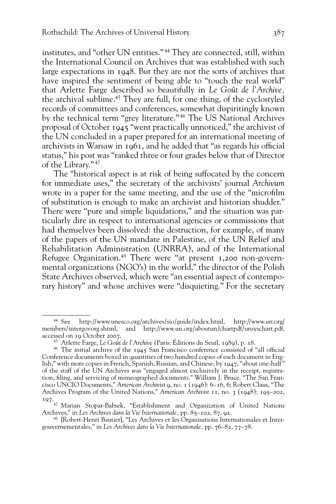institutes, and "other UN entities." 44 They are connected, still, within the International Council on Archives that was established with such large expectations in 1948. But they are not the sorts of archives that have inspired the sentiment of being able to "touch the real world" that Arlette Farge described so beautifully in *Le Goût de l'Archive,*  the archival sublime.45 They are full, for one thing, of the cyclostyled records of committees and conferences, somewhat dispiritingly known by the technical term "grey literature." 46 The US National Archives proposal of October 1945 "went practically unnoticed," the archivist of the UN concluded in a paper prepared for an international meeting of archivists in Warsaw in  $1961$ , and he added that "as regards his official status," his post was "ranked three or four grades below that of Director of the Library." 47

The "historical aspect is at risk of being suffocated by the concern for immediate uses," the secretary of the archivists' journal *Archivum* wrote in a paper for the same meeting, and the use of the "microfilm" of substitution is enough to make an archivist and historian shudder." There were "pure and simple liquidations," and the situation was particularly dire in respect to international agencies or commissions that had themselves been dissolved: the destruction, for example, of many of the papers of the UN mandate in Palestine, of the UN Relief and Rehabilitation Administration (UNRRA), and of the International Refugee Organization.<sup>48</sup> There were "at present 1,200 non-governmental organizations (NGO's) in the world," the director of the Polish State Archives observed, which were "an essential aspect of contemporary history" and whose archives were "disquieting." For the secretary

<sup>44</sup> See http://www.unesco.org/archives/sio/guide/index.html, http://www.un.org/ members/intergovorg.shtml, and http://www.un.org/aboutun/chartpdf/unsyschart.pdf, accessed on 19 October 2007.

<sup>45</sup> Arlette Farge, *Le Goût de l'Archive* (Paris: Éditions du Seuil, 1989), p. 18.

 $46$  The initial archive of the 1945 San Francisco conference consisted of "all official Conference documents boxed in quantities of two hundred copies of each document in English," with more copies in French, Spanish, Russian, and Chinese; by 1947, "about one-half" of the staff of the UN Archives was "engaged almost exclusively in the receipt, registration, filing, and servicing of mimeographed documents." William J. Bruce, "The San Francisco UNCIO Documents," *American Archivist* 9, no. 1 (1946): 6–16, 6; Robert Claus, "The Archives Program of the United Nations," *American Archivist* 11, no. 3 (1948): 195–202, 197.

<sup>&</sup>lt;sup>47</sup> Marian Stopar-Babsek, "Establishment and Organization of United Nations Archives," in *Les Archives dans la Vie Internationale,* pp. 85–102, 87, 92.

<sup>48 [</sup>Robert-Henri Bautier], "Les Archives et les Organisations Internationales et Intergouvernementales," in *Les Archives dans la Vie Internationale,* pp. 76–82, 77–78.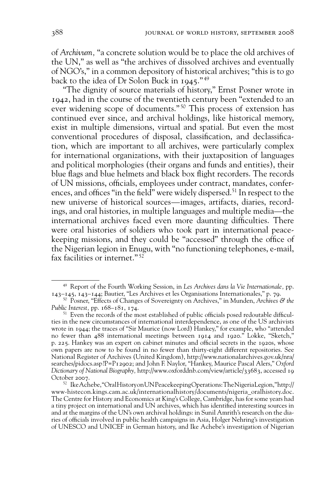of *Archivum,* "a concrete solution would be to place the old archives of the UN," as well as "the archives of dissolved archives and eventually of NGO's," in a common depository of historical archives; "this is to go back to the idea of Dr Solon Buck in 1945." 49

"The dignity of source materials of history," Ernst Posner wrote in 1942, had in the course of the twentieth century been "extended to an ever widening scope of documents." 50 This process of extension has continued ever since, and archival holdings, like historical memory, exist in multiple dimensions, virtual and spatial. But even the most conventional procedures of disposal, classification, and declassification, which are important to all archives, were particularly complex for international organizations, with their juxtaposition of languages and political morphologies (their organs and funds and entities), their blue flags and blue helmets and black box flight recorders. The records of UN missions, officials, employees under contract, mandates, conferences, and offices "in the field" were widely dispersed.<sup>51</sup> In respect to the new universe of historical sources—images, artifacts, diaries, recordings, and oral histories, in multiple languages and multiple media—the international archives faced even more daunting difficulties. There were oral histories of soldiers who took part in international peacekeeping missions, and they could be "accessed" through the office of the Nigerian legion in Enugu, with "no functioning telephones, e-mail, fax facilities or internet." 52

<sup>49</sup> Report of the Fourth Working Session, in *Les Archives dans la Vie Internationale,* pp. 143–145, 143–144; Bautier, "Les Archives et les Organisations Internationales," p. 79.

<sup>50</sup> Posner, "Effects of Changes of Sovereignty on Archives," in Munden, *Archives & the Public Interest,* pp. 168–181, 174.

<sup>&</sup>lt;sup>51</sup> Even the records of the most established of public officials posed redoutable difficulties in the new circumstances of international interdependence, as one of the US archivists wrote in 1944; the traces of "Sir Maurice (now Lord) Hankey," for example, who "attended no fewer than 488 international meetings between 1914 and 1920." Lokke, "Sketch," p. 225. Hankey was an expert on cabinet minutes and official secrets in the 1920s, whose own papers are now to be found in no fewer than thirty-eight different repositories. See National Register of Archives (United Kingdom), http://www.nationalarchives.gov.uk/nra/ searches/pidocs.asp?P=P12902; and John F. Naylor, "Hankey, Maurice Pascal Alers," *Oxford Dictionary of National Biography,* http://www.oxforddnb.com/view/article/33683, accessed 19 October 2007.

<sup>52</sup> Ike Achebe, "Oral History on UN Peacekeeping Operations: The Nigeria Legion," http:// www-histecon.kings.cam.ac.uk/internationalhistory/documents/nigeria\_oralhistory.doc. The Centre for History and Economics at King's College, Cambridge, has for some years had a tiny project on international and UN archives, which has identified interesting sources in and at the margins of the UN's own archival holdings: in Sunil Amrith's research on the diaries of officials involved in public health campaigns in Asia, Holger Nehring's investigation of UNESCO and UNICEF in German history, and Ike Achebe's investigation of Nigerian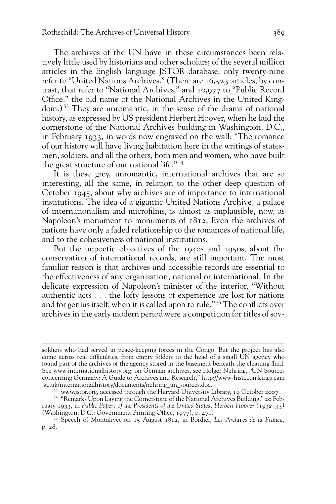The archives of the UN have in these circumstances been relatively little used by historians and other scholars; of the several million articles in the English language JSTOR database, only twenty-nine refer to "United Nations Archives." (There are 16,523 articles, by contrast, that refer to "National Archives," and 10,977 to "Public Record Office," the old name of the National Archives in the United Kingdom.) 53 They are unromantic, in the sense of the drama of national history, as expressed by US president Herbert Hoover, when he laid the cornerstone of the National Archives building in Washington, D.C., in February 1933, in words now engraved on the wall: "The romance of our history will have living habitation here in the writings of statesmen, soldiers, and all the others, both men and women, who have built the great structure of our national life." 54

It is these grey, unromantic, international archives that are so interesting, all the same, in relation to the other deep question of October 1945, about why archives are of importance to international institutions. The idea of a gigantic United Nations Archive, a palace of internationalism and microfilms, is almost as implausible, now, as Napoleon's monument to monuments of 1812. Even the archives of nations have only a faded relationship to the romances of national life, and to the cohesiveness of national institutions.

But the unpoetic objectives of the 1940s and 1950s, about the conservation of international records, are still important. The most familiar reason is that archives and accessible records are essential to the effectiveness of any organization, national or international. In the delicate expression of Napoleon's minister of the interior, "Without authentic acts . . . the lofty lessons of experience are lost for nations and for genius itself, when it is called upon to rule."<sup>55</sup> The conflicts over archives in the early modern period were a competition for titles of sov-

soldiers who had served in peace-keeping forces in the Congo. But the project has also come across real difficulties, from empty folders to the head of a small UN agency who found part of the archives of the agency stored in the basement beneath the cleaning fluid. See www.internationalhistory.org; on German archives, see Holger Nehring, "UN Sources concerning Germany: A Guide to Archives and Research," http://www-histecon.kings.cam .ac.uk/internationalhistory/documents/nehring\_un\_sources.doc. 53 www.jstor.org, accessed through the Harvard University Library, <sup>19</sup> October 2007.

<sup>54 &</sup>quot;Remarks Upon Laying the Cornerstone of the National Archives Building," 20 February 1933, in *Public Papers of the Presidents of the United States, Herbert Hoover (1932–33)*  (Washington, D.C.: Government Printing Office,  $1977$ ), p.  $471$ .

<sup>55</sup> Speech of Montalivet on 15 August 1812, in Bordier, *Les Archives de la France,*  p. 28.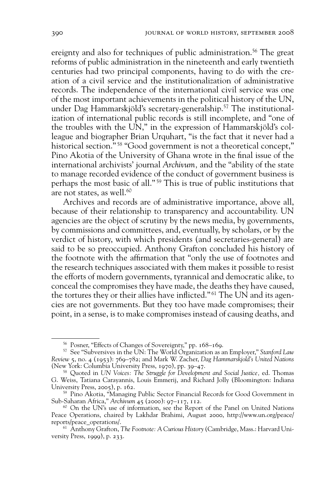ereignty and also for techniques of public administration.<sup>56</sup> The great reforms of public administration in the nineteenth and early twentieth centuries had two principal components, having to do with the creation of a civil service and the institutionalization of administrative records. The independence of the international civil service was one of the most important achievements in the political history of the UN, under Dag Hammarskjöld's secretary-generalship.<sup>57</sup> The institutionalization of international public records is still incomplete, and "one of the troubles with the UN," in the expression of Hammarskjöld's colleague and biographer Brian Urquhart, "is the fact that it never had a historical section."<sup>58</sup> "Good government is not a theoretical concept," Pino Akotia of the University of Ghana wrote in the final issue of the international archivists' journal *Archivum,* and the "ability of the state to manage recorded evidence of the conduct of government business is perhaps the most basic of all." 59 This is true of public institutions that are not states, as well.<sup>60</sup>

Archives and records are of administrative importance, above all, because of their relationship to transparency and accountability. UN agencies are the object of scrutiny by the news media, by governments, by commissions and committees, and, eventually, by scholars, or by the verdict of history, with which presidents (and secretaries-general) are said to be so preoccupied. Anthony Grafton concluded his history of the footnote with the affirmation that "only the use of footnotes and the research techniques associated with them makes it possible to resist the efforts of modern governments, tyrannical and democratic alike, to conceal the compromises they have made, the deaths they have caused, the tortures they or their allies have inflicted."<sup>61</sup> The UN and its agencies are not governments. But they too have made compromises; their point, in a sense, is to make compromises instead of causing deaths, and

<sup>56</sup> Posner, "Effects of Changes of Sovereignty," pp. 168–169.

<sup>57</sup> See "Subversives in the UN: The World Organization as an Employer," *Stanford Law Review* 5, no. 4 (1953): 769–782; and Mark W. Zacher, *Dag Hammarskjold's United Nations*  (New York: Columbia University Press, 1970), pp. 39–47.

<sup>58</sup> Quoted in *UN Voices: The Struggle for Development and Social Justice,* ed. Thomas G. Weiss, Tatiana Carayannis, Louis Emmerij, and Richard Jolly (Bloomington: Indiana University Press, 2005), p. 162.

<sup>59</sup> Pino Akotia, "Managing Public Sector Financial Records for Good Government in Sub-Saharan Africa," *Archivum* 45 (2000): 97–117, 112.

 $60$  On the UN's use of information, see the Report of the Panel on United Nations Peace Operations, chaired by Lakhdar Brahimi, August 2000, http://www.un.org/peace/ reports/peace\_operations/.

<sup>61</sup> Anthony Grafton, *The Footnote: A Curious History* (Cambridge, Mass.: Harvard University Press, 1999), p. 233.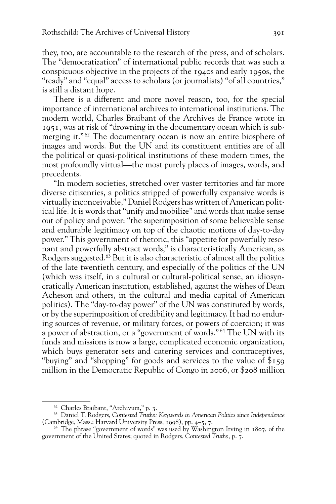they, too, are accountable to the research of the press, and of scholars. The "democratization" of international public records that was such a conspicuous objective in the projects of the 1940s and early 1950s, the "ready" and "equal" access to scholars (or journalists) "of all countries," is still a distant hope.

There is a different and more novel reason, too, for the special importance of international archives to international institutions. The modern world, Charles Braibant of the Archives de France wrote in 1951, was at risk of "drowning in the documentary ocean which is submerging it."<sup>62</sup> The documentary ocean is now an entire biosphere of images and words. But the UN and its constituent entities are of all the political or quasi-political institutions of these modern times, the most profoundly virtual—the most purely places of images, words, and precedents.

"In modern societies, stretched over vaster territories and far more diverse citizenries, a politics stripped of powerfully expansive words is virtually inconceivable," Daniel Rodgers has written of American political life. It is words that "unify and mobilize" and words that make sense out of policy and power: "the superimposition of some believable sense and endurable legitimacy on top of the chaotic motions of day-to-day power." This government of rhetoric, this "appetite for powerfully resonant and powerfully abstract words," is characteristically American, as Rodgers suggested.<sup>63</sup> But it is also characteristic of almost all the politics of the late twentieth century, and especially of the politics of the UN (which was itself, in a cultural or cultural-political sense, an idiosyncratically American institution, established, against the wishes of Dean Acheson and others, in the cultural and media capital of American politics). The "day-to-day power" of the UN was constituted by words, or by the superimposition of credibility and legitimacy. It had no enduring sources of revenue, or military forces, or powers of coercion; it was a power of abstraction, or a "government of words." 64 The UN with its funds and missions is now a large, complicated economic organization, which buys generator sets and catering services and contraceptives, "buying" and "shopping" for goods and services to the value of \$159 million in the Democratic Republic of Congo in 2006, or \$208 million

<sup>62</sup> Charles Braibant, "Archivum," p. 3.

<sup>63</sup> Daniel T. Rodgers, *Contested Truths: Keywords in American Politics since Independence* (Cambridge, Mass.: Harvard University Press, 1998), pp. 4–5, 7.

<sup>64</sup> The phrase "government of words" was used by Washington Irving in 1807, of the government of the United States; quoted in Rodgers, *Contested Truths,* p. 7.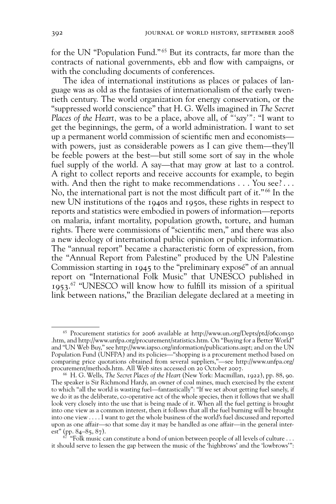for the UN "Population Fund." 65 But its contracts, far more than the contracts of national governments, ebb and flow with campaigns, or with the concluding documents of conferences.

The idea of international institutions as places or palaces of language was as old as the fantasies of internationalism of the early twentieth century. The world organization for energy conservation, or the "suppressed world conscience" that H. G. Wells imagined in *The Secret Places of the Heart,* was to be a place, above all, of *"'say'":* "I want to get the beginnings, the germ, of a world administration. I want to set up a permanent world commission of scientific men and economists with powers, just as considerable powers as I can give them—they'll be feeble powers at the best—but still some sort of say in the whole fuel supply of the world. A say—that may grow at last to a control. A right to collect reports and receive accounts for example, to begin with. And then the right to make recommendations . . . You see?... No, the international part is not the most difficult part of it." $66$  In the new UN institutions of the 1940s and 1950s, these rights in respect to reports and statistics were embodied in powers of information—reports on malaria, infant mortality, population growth, torture, and human rights. There were commissions of "scientific men," and there was also a new ideology of international public opinion or public information. The "annual report" became a characteristic form of expression, from the "Annual Report from Palestine" produced by the UN Palestine Commission starting in 1945 to the "preliminary exposé" of an annual report on "International Folk Music" that UNESCO published in 1953.<sup>67</sup> "UNESCO will know how to fulfill its mission of a spiritual link between nations," the Brazilian delegate declared at a meeting in

<sup>65</sup> Procurement statistics for 2006 available at http://www.un.org/Depts/ptd/06com50 .htm, and http://www.unfpa.org/procurement/statistics.htm. On "Buying for a Better World" and "UN Web Buy," see http://www.iapso.org/information/publications.aspt; and on the UN Population Fund (UNFPA) and its policies—"shopping is a procurement method based on comparing price quotations obtained from several suppliers,"—see http://www.unfpa.org/ procurement/methods.htm. All Web sites accessed on 20 October 2007.

<sup>66</sup> H. G. Wells, *The Secret Places of the Heart* (New York: Macmillan, 1922), pp. 88, 90. The speaker is Sir Richmond Hardy, an owner of coal mines, much exercised by the extent to which "all the world is wasting fuel—fantastically": "If we set about getting fuel sanely, if we do it as the deliberate, co-operative act of the whole species, then it follows that we shall look very closely into the use that is being made of it. When all the fuel getting is brought into one view as a common interest, then it follows that all the fuel burning will be brought into one view . . . . I want to get the whole business of the world's fuel discussed and reported upon as one affair—so that some day it may be handled as one affair—in the general interest" (pp. 84–85, 87).

 $67$  "Folk music can constitute a bond of union between people of all levels of culture ... it should serve to lessen the gap between the music of the 'highbrows' and the 'lowbrows'":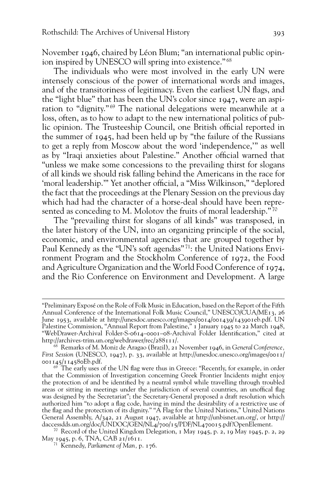November 1946, chaired by Léon Blum; "an international public opinion inspired by UNESCO will spring into existence." 68

The individuals who were most involved in the early UN were intensely conscious of the power of international words and images, and of the transitoriness of legitimacy. Even the earliest UN flags, and the "light blue" that has been the UN's color since 1947, were an aspiration to "dignity." 69 The national delegations were meanwhile at a loss, often, as to how to adapt to the new international politics of public opinion. The Trusteeship Council, one British official reported in the summer of 1945, had been held up by "the failure of the Russians to get a reply from Moscow about the word 'independence,'" as well as by "Iraqi anxieties about Palestine." Another official warned that "unless we make some concessions to the prevailing thirst for slogans of all kinds we should risk falling behind the Americans in the race for 'moral leadership."" Yet another official, a "Miss Wilkinson," "deplored the fact that the proceedings at the Plenary Session on the previous day which had had the character of a horse-deal should have been represented as conceding to M. Molotov the fruits of moral leadership."<sup>70</sup>

The "prevailing thirst for slogans of all kinds" was transposed, in the later history of the UN, into an organizing principle of the social, economic, and environmental agencies that are grouped together by Paul Kennedy as the "UN's soft agendas" 71: the United Nations Environment Program and the Stockholm Conference of 1972, the Food and Agriculture Organization and the World Food Conference of 1974, and the Rio Conference on Environment and Development. A large

<sup>&</sup>quot;Preliminary Exposé on the Role of Folk Music in Education, based on the Report of the Fifth Annual Conference of the International Folk Music Council," UNESCO/CUA/ME13, 26 June 1953, available at http://unesdoc.unesco.org/images/0014/001439/143901eb.pdf. UN Palestine Commission, "Annual Report from Palestine," 1 January 1945 to 22 March 1948, "WebDrawer-Archival Folder-S-0614-0001-08-Archival Folder Identification," cited at http://archives-trim.un.org/webdrawer/rec/288111/.

<sup>68</sup> Remarks of M. Moniz de Aragao (Brazil), 21 November 1946, in *General Conference, First Session* (UNESCO, 1947), p. 33, available at http://unesdoc.unesco.org/images/0011/ 001145/114580Eb.pdf.

 $69$  The early uses of the UN flag were thus in Greece: "Recently, for example, in order that the Commission of Investigation concerning Greek Frontier Incidents might enjoy the protection of and be identified by a neutral symbol while travelling through troubled areas or sitting in meetings under the jurisdiction of several countries, an unoffical flag was designed by the Secretariat"; the Secretary-General proposed a draft resolution which authorized him "to adopt a flag code, having in mind the desirability of a restrictive use of the flag and the protection of its dignity." "A Flag for the United Nations," United Nations General Assembly, A/342, 21 August 1947, available at http://unbisnet.un.org/, or http:// daccessdds.un.org/doc/UNDOC/GEN/NL4/700/15/PDF/NL470015.pdf?OpenElement.

<sup>70</sup> Record of the United Kingdom Delegation, 1 May 1945, p. 2, 19 May 1945, p. 2, 29 May 1945, p. 6, TNA, CAB 21/1611.

<sup>71</sup> Kennedy, *Parliament of Man,* p. 176.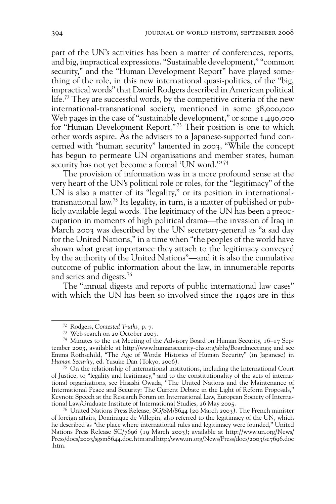part of the UN's activities has been a matter of conferences, reports, and big, impractical expressions. "Sustainable development," "common security," and the "Human Development Report" have played something of the role, in this new international quasi-politics, of the "big, impractical words" that Daniel Rodgers described in American political life.<sup>72</sup> They are successful words, by the competitive criteria of the new international-transnational society, mentioned in some 38,000,000 Web pages in the case of "sustainable development," or some 1,490,000 for "Human Development Report." 73 Their position is one to which other words aspire. As the advisers to a Japanese-supported fund concerned with "human security" lamented in 2003, "While the concept has begun to permeate UN organisations and member states, human security has not yet become a formal 'UN word.'" 74

The provision of information was in a more profound sense at the very heart of the UN's political role or roles, for the "legitimacy" of the UN is also a matter of its "legality," or its position in internationaltransnational law.75 Its legality, in turn, is a matter of published or publicly available legal words. The legitimacy of the UN has been a preoccupation in moments of high political drama—the invasion of Iraq in March 2003 was described by the UN secretary-general as "a sad day for the United Nations," in a time when "the peoples of the world have shown what great importance they attach to the legitimacy conveyed by the authority of the United Nations"—and it is also the cumulative outcome of public information about the law, in innumerable reports and series and digests.76

The "annual digests and reports of public international law cases" with which the UN has been so involved since the 1940s are in this

<sup>72</sup> Rodgers, *Contested Truths,* p. 7.

<sup>73</sup> Web search on 20 October 2007.

<sup>&</sup>lt;sup>74</sup> Minutes to the 1st Meeting of the Advisory Board on Human Security,  $16-17$  September 2003, available at http://www.humansecurity-chs.org/abhs/Boardmeetings; and see Emma Rothschild, "The Age of Words: Histories of Human Security" (in Japanese) in *Human Security,* ed. Yusuke Dan (Tokyo, 2006).

 $75$  On the relationship of international institutions, including the International Court of Justice, to "legality and legitimacy," and to the constitutionality of the acts of international organizations, see Hisashi Owada, "The United Nations and the Maintenance of International Peace and Security: The Current Debate in the Light of Reform Proposals," Keynote Speech at the Research Forum on International Law, European Society of International Law/Graduate Institute of International Studies, 26 May 2005.

<sup>76</sup> United Nations Press Release, SG/SM/8644 (20 March 2003). The French minister of foreign affairs, Dominique de Villepin, also referred to the legitimacy of the UN, which he described as "the place where international rules and legitimacy were founded," United Nations Press Release SC/7696 (19 March 2003); available at http://www.un.org/News/ Press/docs/2003/sgsm8644.doc.htm and http:/www.un.org/News/Press/docs/2003/sc7696.doc .htm.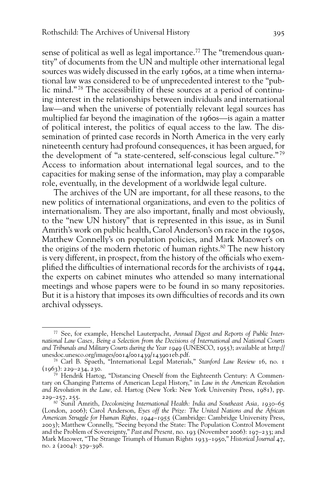sense of political as well as legal importance.<sup>77</sup> The "tremendous quantity" of documents from the UN and multiple other international legal sources was widely discussed in the early 1960s, at a time when international law was considered to be of unprecedented interest to the "public mind." 78 The accessibility of these sources at a period of continuing interest in the relationships between individuals and international law—and when the universe of potentially relevant legal sources has multiplied far beyond the imagination of the 1960s—is again a matter of political interest, the politics of equal access to the law. The dissemination of printed case records in North America in the very early nineteenth century had profound consequences, it has been argued, for the development of "a state-centered, self-conscious legal culture." 79 Access to information about international legal sources, and to the capacities for making sense of the information, may play a comparable role, eventually, in the development of a worldwide legal culture.

The archives of the UN are important, for all these reasons, to the new politics of international organizations, and even to the politics of internationalism. They are also important, finally and most obviously, to the "new UN history" that is represented in this issue, as in Sunil Amrith's work on public health, Carol Anderson's on race in the 1950s, Matthew Connelly's on population policies, and Mark Mazower's on the origins of the modern rhetoric of human rights.<sup>80</sup> The new history is very different, in prospect, from the history of the officials who exemplified the difficulties of international records for the archivists of 1944, the experts on cabinet minutes who attended so many international meetings and whose papers were to be found in so many repositories. But it is a history that imposes its own difficulties of records and its own archival odysseys.

<sup>77</sup> See, for example, Herschel Lauterpacht, *Annual Digest and Reports of Public International Law Cases, Being a Selection from the Decisions of International and National Courts and Tribunals and Military Courts during the Year 1949* (UNESCO, 1955); available at http:// unesdoc.unesco.org/images/0014/001439/143901eb.pdf.

<sup>78</sup> Carl B. Spaeth, "International Legal Materials," *Stanford Law Review* 16, no. 1  $(1963): 229 - 234, 230.$ 

Hendrik Hartog, "Distancing Oneself from the Eighteenth Century: A Commentary on Changing Patterns of American Legal History," in *Law in the American Revolution and Revolution in the Law,* ed. Hartog (New York: New York University Press, 1981), pp. 229–257, 255.

<sup>80</sup> Sunil Amrith, *Decolonizing International Health: India and Southeast Asia, 1930–65*  (London, 2006); Carol Anderson, *Eyes off the Prize: The United Nations and the African American Struggle for Human Rights, 1944–1955* (Cambridge: Cambridge University Press, 2003); Matthew Connelly, "Seeing beyond the State: The Population Control Movement and the Problem of Sovereignty," *Past and Present,* no. 193 (November 2006): 197–233; and Mark Mazower, "The Strange Triumph of Human Rights 1933–1950," *Historical Journal* 47, no. 2 (2004): 379–398.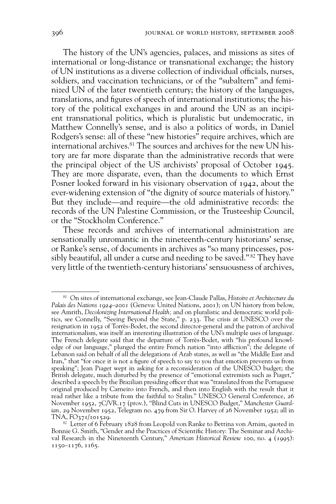The history of the UN's agencies, palaces, and missions as sites of international or long-distance or transnational exchange; the history of UN institutions as a diverse collection of individual officials, nurses, soldiers, and vaccination technicians, or of the "subaltern" and feminized UN of the later twentieth century; the history of the languages, translations, and figures of speech of international institutions; the history of the political exchanges in and around the UN as an incipient transnational politics, which is pluralistic but undemocratic, in Matthew Connelly's sense, and is also a politics of words, in Daniel Rodgers's sense: all of these "new histories" require archives, which are international archives.<sup>81</sup> The sources and archives for the new UN history are far more disparate than the administrative records that were the principal object of the US archivists' proposal of October 1945. They are more disparate, even, than the documents to which Ernst Posner looked forward in his visionary observation of 1942, about the ever-widening extension of "the dignity of source materials of history." But they include—and require—the old administrative records: the records of the UN Palestine Commission, or the Trusteeship Council, or the "Stockholm Conference."

These records and archives of international administration are sensationally unromantic in the nineteenth-century historians' sense, or Ranke's sense, of documents in archives as "so many princesses, possibly beautiful, all under a curse and needing to be saved." 82 They have very little of the twentieth-century historians' sensuousness of archives,

<sup>81</sup> On sites of international exchange, see Jean-Claude Pallas, *Histoire et Architecture du Palais des Nations 1924–2001* (Geneva: United Nations, 2001); on UN history from below, see Amrith, *Decolonizing International Health;* and on pluralistic and democratic world politics, see Connelly, "Seeing Beyond the State," p. 233. The crisis at UNESCO over the resignation in 1952 of Torrès-Bodet, the second director-general and the patron of archival internationalism, was itself an interesting illustration of the UN's multiple uses of language. The French delegate said that the departure of Torrès-Bodet, with "his profound knowledge of our language," plunged the entire French nation "into affliction"; the delegate of Lebanon said on behalf of all the delegations of Arab states, as well as "the Middle East and Iran," that "for once it is not a figure of speech to say to you that emotion prevents us from speaking"; Jean Piaget wept in asking for a reconsideration of the UNESCO budget; the British delegate, much disturbed by the presence of "emotional extremists such as Piaget," described a speech by the Brazilian presiding officer that was "translated from the Portuguese original produced by Carneiro into French, and then into English with the result that it read rather like a tribute from the faithful to Stalin." UNESCO General Conference, 26 November 1952, 7C/VR.17 (prov.), "Blind Cuts in UNESCO Budget," *Manchester Guardian,* 29 November 1952, Telegram no. 479 from Sir O. Harvey of 26 November 1952; all in TNA, FO371/101529.

 $82$  Letter of 6 February 1828 from Leopold von Ranke to Bettina von Arnim, quoted in Bonnie G. Smith, "Gender and the Practices of Scientific History: The Seminar and Archival Research in the Nineteenth Century," *American Historical Review* 100, no. 4 (1995): 1150–1176, 1165.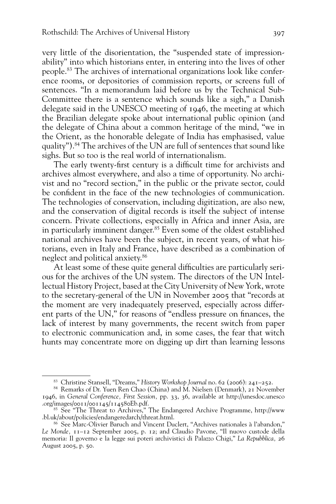very little of the disorientation, the "suspended state of impressionability" into which historians enter, in entering into the lives of other people.83 The archives of international organizations look like conference rooms, or depositories of commission reports, or screens full of sentences. "In a memorandum laid before us by the Technical Sub-Committee there is a sentence which sounds like a sigh," a Danish delegate said in the UNESCO meeting of 1946, the meeting at which the Brazilian delegate spoke about international public opinion (and the delegate of China about a common heritage of the mind, "we in the Orient, as the honorable delegate of India has emphasised, value quality").84 The archives of the UN are full of sentences that sound like sighs. But so too is the real world of internationalism.

The early twenty-first century is a difficult time for archivists and archives almost everywhere, and also a time of opportunity. No archivist and no "record section," in the public or the private sector, could be confident in the face of the new technologies of communication. The technologies of conservation, including digitization, are also new, and the conservation of digital records is itself the subject of intense concern. Private collections, especially in Africa and inner Asia, are in particularly imminent danger.<sup>85</sup> Even some of the oldest established national archives have been the subject, in recent years, of what historians, even in Italy and France, have described as a combination of neglect and political anxiety.86

At least some of these quite general difficulties are particularly serious for the archives of the UN system. The directors of the UN Intellectual History Project, based at the City University of New York, wrote to the secretary-general of the UN in November 2005 that "records at the moment are very inadequately preserved, especially across different parts of the UN," for reasons of "endless pressure on finances, the lack of interest by many governments, the recent switch from paper to electronic communication and, in some cases, the fear that witch hunts may concentrate more on digging up dirt than learning lessons

<sup>83</sup> Christine Stansell, "Dreams," *History Workshop Journal* no. 62 (2006): 241–252.

<sup>&</sup>lt;sup>84</sup> Remarks of Dr. Yuen Ren Chao (China) and M. Nielsen (Denmark),  $21$  November 1946, in *General Conference, First Session,* pp. 33, 36, available at http://unesdoc.unesco .org/images/0011/001145/114580Eb.pdf.

<sup>&</sup>lt;sup>85</sup> See "The Threat to Archives," The Endangered Archive Programme, http://www .bl.uk/about/policies/endangeredarch/threat.html.

<sup>86</sup> See Marc-Olivier Baruch and Vincent Duclert, "Archives nationales à l'abandon," *Le Monde,* 11–12 September 2005, p. 12; and Claudio Pavone, "Il nuovo custode della memoria: Il governo e la legge sui poteri archivistici di Palazzo Chigi," *La Repubblica,* 26 August 2005, p. 50.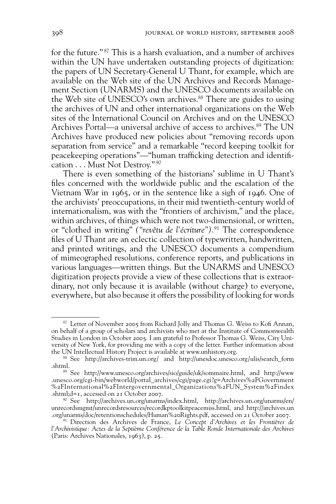for the future." 87 This is a harsh evaluation, and a number of archives within the UN have undertaken outstanding projects of digitization: the papers of UN Secretary-General U Thant, for example, which are available on the Web site of the UN Archives and Records Management Section (UNARMS) and the UNESCO documents available on the Web site of UNESCO's own archives.<sup>88</sup> There are guides to using the archives of UN and other international organizations on the Web sites of the International Council on Archives and on the UNESCO Archives Portal—a universal archive of access to archives.<sup>89</sup> The UN Archives have produced new policies about "removing records upon separation from service" and a remarkable "record keeping toolkit for peacekeeping operations"—"human trafficking detection and identification . . . Must Not Destroy." 90

There is even something of the historians' sublime in U Thant's files concerned with the worldwide public and the escalation of the Vietnam War in 1965, or in the sentence like a sigh of 1946. One of the archivists' preoccupations, in their mid twentieth-century world of internationalism, was with the "frontiers of archivism," and the place, within archives, of things which were not two-dimensional, or written, or "clothed in writing" *("revêtu de l'écriture").*91 The correspondence files of U Thant are an eclectic collection of typewritten, handwritten, and printed writings, and the UNESCO documents a compendium of mimeographed resolutions, conference reports, and publications in various languages—written things. But the UNARMS and UNESCO digitization projects provide a view of these collections that is extraordinary, not only because it is available (without charge) to everyone, everywhere, but also because it offers the possibility of looking for words

<sup>87</sup> Letter of November 2005 from Richard Jolly and Thomas G. Weiss to Kofi Annan, on behalf of a group of scholars and archivists who met at the Institute of Commonwealth Studies in London in October 2005. I am grateful to Professor Thomas G. Weiss, City University of New York, for providing me with a copy of the letter. Further information about the UN Intellectual History Project is available at www.unhistory.org.

<sup>88</sup> See http://archives-trim.un.org/ and http://unesdoc.unesco.org/ulis/search\_form .shtml.

<sup>89</sup> See http://www.unesco.org/archives/sio/guide/uk/sommaire.html, and http://www .unesco.org/cgi-bin/webworld/portal\_archives/cgi/page.cgi?g=Archives%2FGovernment %2FInternational%2FIntergovernmental\_Organizations%2FUN\_System%2Findex .shtml;d=1, accessed on 21 October 2007.

<sup>90</sup> See http://archives.un.org/unarms/index.html, http://archives.un.org/unarms/en/ unrecordsmgmt/unrecordsresources/recordkptoolkitpeacemiss.html, and http://archives.un .org/unarms/doc/retentionschedules/Human%20Rights.pdf, accessed on 21 October 2007.

<sup>91</sup> Direction des Archives de France, *Le Concept d'Archives et les Frontières de l'Archivistique: Actes de la Septième Conférence de la Table Ronde Internationale des Archives*  (Paris: Archives Nationales, 1963), p. 25.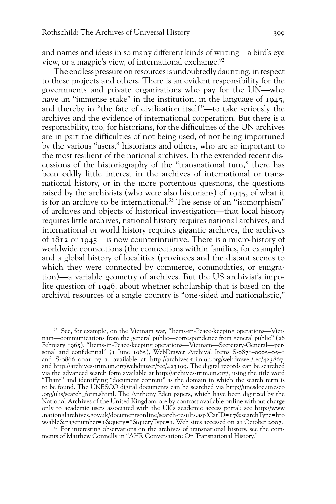and names and ideas in so many different kinds of writing—a bird's eye view, or a magpie's view, of international exchange.<sup>92</sup>

The endless pressure on resources is undoubtedly daunting, in respect to these projects and others. There is an evident responsibility for the governments and private organizations who pay for the UN—who have an "immense stake" in the institution, in the language of 1945, and thereby in "the fate of civilization itself "—to take seriously the archives and the evidence of international cooperation. But there is a responsibility, too, for historians, for the difficulties of the UN archives are in part the difficulties of not being used, of not being importuned by the various "users," historians and others, who are so important to the most resilient of the national archives. In the extended recent discussions of the historiography of the "transnational turn," there has been oddly little interest in the archives of international or transnational history, or in the more portentous questions, the questions raised by the archivists (who were also historians) of 1945, of what it is for an archive to be international.<sup>93</sup> The sense of an "isomorphism" of archives and objects of historical investigation—that local history requires little archives, national history requires national archives, and international or world history requires gigantic archives, the archives of 1812 or 1945—is now counterintuitive. There is a micro-history of worldwide connections (the connections within families, for example) and a global history of localities (provinces and the distant scenes to which they were connected by commerce, commodities, or emigration)—a variable geometry of archives. But the US archivist's impolite question of 1946, about whether scholarship that is based on the archival resources of a single country is "one-sided and nationalistic,"

 $92$  See, for example, on the Vietnam war, "Items-in-Peace-keeping operations—Vietnam—communications from the general public—correspondence from general public" (26 February 1965), "Items-in-Peace-keeping operations—Vietnam—Secretary-General—personal and confidential" (1 June 1965), WebDrawer Archival Items S-0871–0005–05–1 and S-0866–0001–07–1, available at http://archives-trim.un.org/webdrawer/rec/423867, and http://archives-trim.un.org/webdrawer/rec/423199. The digital records can be searched via the advanced search form available at http://archives-trim.un.org/, using the title word "Thant" and identifying "document content" as the domain in which the search term is to be found. The UNESCO digital documents can be searched via http://unesdoc.unesco .org/ulis/search\_form.shtml. The Anthony Eden papers, which have been digitized by the National Archives of the United Kingdom, are by contrast available online without charge only to academic users associated with the UK's academic access portal; see http://www .nationalarchives.gov.uk/documentsonline/search-results.asp?CatID=17&searchType=bro wsable&pagenumber=1&query=\*&queryType=1. Web sites accessed on 21 October 2007.

<sup>&</sup>lt;sup>93</sup> For interesting observations on the archives of transnational history, see the comments of Matthew Connelly in "AHR Conversation: On Transnational History."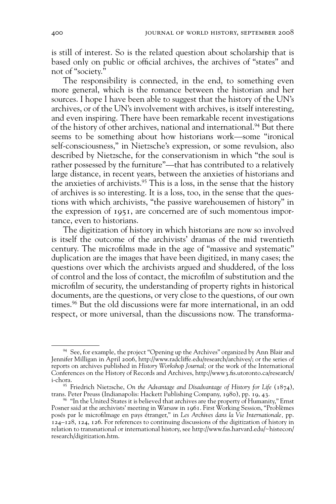is still of interest. So is the related question about scholarship that is based only on public or official archives, the archives of "states" and not of "society."

The responsibility is connected, in the end, to something even more general, which is the romance between the historian and her sources. I hope I have been able to suggest that the history of the UN's archives, or of the UN's involvement with archives, is itself interesting, and even inspiring. There have been remarkable recent investigations of the history of other archives, national and international.<sup>94</sup> But there seems to be something about how historians work—some "ironical self-consciousness," in Nietzsche's expression, or some revulsion, also described by Nietzsche, for the conservationism in which "the soul is rather possessed by the furniture"—that has contributed to a relatively large distance, in recent years, between the anxieties of historians and the anxieties of archivists. $95$  This is a loss, in the sense that the history of archives is so interesting. It is a loss, too, in the sense that the questions with which archivists, "the passive warehousemen of history" in the expression of 1951, are concerned are of such momentous importance, even to historians.

The digitization of history in which historians are now so involved is itself the outcome of the archivists' dramas of the mid twentieth century. The microfilms made in the age of "massive and systematic" duplication are the images that have been digitized, in many cases; the questions over which the archivists argued and shuddered, of the loss of control and the loss of contact, the microfilm of substitution and the microfilm of security, the understanding of property rights in historical documents, are the questions, or very close to the questions, of our own times.96 But the old discussions were far more international, in an odd respect, or more universal, than the discussions now. The transforma-

<sup>&</sup>lt;sup>94</sup> See, for example, the project "Opening up the Archives" organized by Ann Blair and Jennifer Milligan in April 2006, http://www.radcliffe.edu/research/archives/; or the series of reports on archives published in *History Workshop Journal;* or the work of the International Conferences on the History of Records and Archives, http://www3.fis.utoronto.ca/research/ i-chora.

<sup>95</sup> Friedrich Nietzsche, *On the Advantage and Disadvantage of History for Life* (1874), trans. Peter Preuss (Indianapolis: Hackett Publishing Company, 1980), pp. 19, 43.

<sup>&</sup>lt;sup>96</sup> "In the United States it is believed that archives are the property of Humanity," Ernst Posner said at the archivists' meeting in Warsaw in 1961. First Working Session, "Problèmes posés par le microfi lmage en pays étranger," in *Les Archives dans la Vie Internationale,* pp. 124–128, 124, 126. For references to continuing discussions of the digitization of history in relation to transnational or international history, see http://www.fas.harvard.edu/~histecon/ research/digitization.htm.